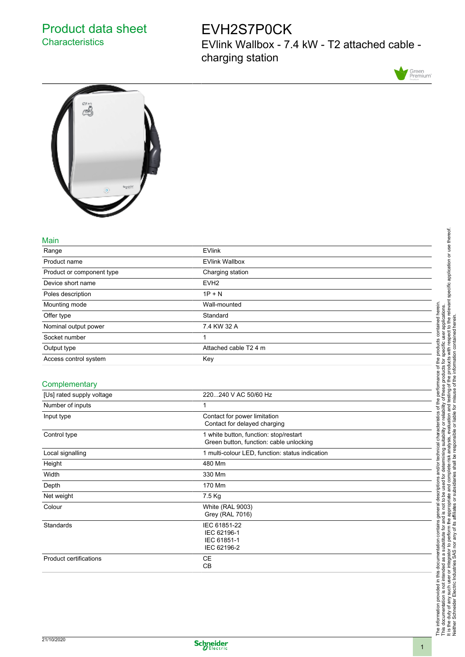## Product data sheet **Characteristics**

# EVH2S7P0CK

EVlink Wallbox - 7.4 kW - T2 attached cable charging station





#### Main

| Range                     | <b>EVlink</b>         |  |
|---------------------------|-----------------------|--|
| Product name              | <b>EVlink Wallbox</b> |  |
| Product or component type | Charging station      |  |
| Device short name         | EVH <sub>2</sub>      |  |
| Poles description         | $1P + N$              |  |
| Mounting mode             | Wall-mounted          |  |
| Offer type                | Standard              |  |
| Nominal output power      | 7.4 KW 32 A           |  |
| Socket number             | 1                     |  |
| Output type               | Attached cable T2 4 m |  |
| Access control system     | Key                   |  |
|                           |                       |  |

#### **Complementary**

| [Us] rated supply voltage | 220240 V AC 50/60 Hz                                                              |
|---------------------------|-----------------------------------------------------------------------------------|
| Number of inputs          | 1                                                                                 |
| Input type                | Contact for power limitation<br>Contact for delayed charging                      |
| Control type              | 1 white button, function: stop/restart<br>Green button, function: cable unlocking |
| Local signalling          | 1 multi-colour LED, function: status indication                                   |
| Height                    | 480 Mm                                                                            |
| Width                     | 330 Mm                                                                            |
| Depth                     | 170 Mm                                                                            |
| Net weight                | 7.5 Kg                                                                            |
| Colour                    | <b>White (RAL 9003)</b><br>Grey (RAL 7016)                                        |
| Standards                 | IEC 61851-22<br>IEC 62196-1<br>IEC 61851-1<br>IEC 62196-2                         |
| Product certifications    | CE<br><b>CB</b>                                                                   |